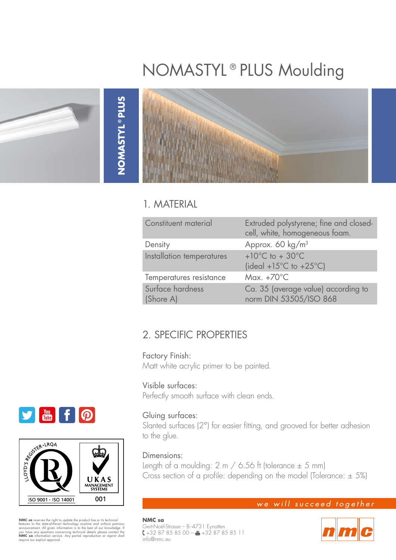# NOMASTYL®PLUS Moulding



### 1. MATERIAL

| Constituent material          | Extruded polystyrene; fine and closed-<br>cell, white, homogeneous foam.              |
|-------------------------------|---------------------------------------------------------------------------------------|
| Density                       | Approx. 60 kg/m <sup>3</sup>                                                          |
| Installation temperatures     | +10 $^{\circ}$ C to + 30 $^{\circ}$ C<br>(ideal +15 $^{\circ}$ C to +25 $^{\circ}$ C) |
| Temperatures resistance       | Max. $+70^{\circ}$ C                                                                  |
| Surface hardness<br>(Shore A) | Ca. 35 (average value) according to<br>norm DIN 53505/ISO 868                         |

# 2. SPECIFIC PROPERTIES

Factory Finish: Matt white acrylic primer to be painted.

#### Visible surfaces:

Perfectly smooth surface with clean ends.

#### Gluing surfaces:

Slanted surfaces (2°) for easier fitting, and grooved for better adhesion to the glue.

#### Dimensions:

**NMC sa**

info@nmc.eu

Gert-Noël-Strasse – B-4731 Eynatten

+32 87 85 85 00 – +32 87 85 85 11

Length of a moulding:  $2 \text{ m}$  / 6.56 ft (tolerance  $\pm$  5 mm) Cross section of a profile: depending on the model (Tolerance:  $\pm$  5%)

#### we will succeed together





**NMC sa** reserves the right to update the product line or its technical features to the state-of-heart enchology anytime and without previous announcement. All given information is to the best of our knowledge. If you have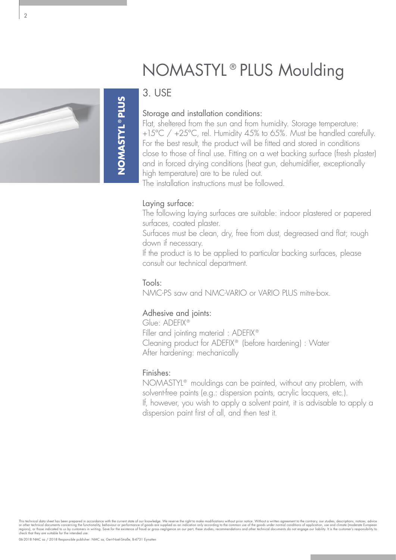

# 3. USE

**NOMASTYL®PLUS NOMASTYL®PLUS**

#### Storage and installation conditions:

Flat, sheltered from the sun and from humidity. Storage temperature: +15°C / +25°C, rel. Humidity 45% to 65%. Must be handled carefully. For the best result, the product will be fitted and stored in conditions close to those of final use. Fitting on a wet backing surface (fresh plaster) and in forced drying conditions (heat gun, dehumidifier, exceptionally high temperature) are to be ruled out.

NOMASTYL®PLUS Moulding

The installation instructions must be followed.

#### Laying surface:

The following laying surfaces are suitable: indoor plastered or papered surfaces, coated plaster.

Surfaces must be clean, dry, free from dust, degreased and flat; rough down if necessary.

If the product is to be applied to particular backing surfaces, please consult our technical department.

#### Tools:

NMC-PS saw and NMC-VARIO or VARIO PLUS mitre-box.

#### Adhesive and joints:

Glue: ADEFIX® Filler and jointing material : ADEFIX® Cleaning product for ADEFIX® (before hardening) : Water After hardening: mechanically

#### Finishes:

NOMASTYL® mouldings can be painted, without any problem, with solvent-free paints (e.g.: dispersion paints, acrylic lacquers, etc.). If, however, you wish to apply a solvent paint, it is advisable to apply a dispersion paint first of all, and then test it.

This technical data sheet has been prepared in accordance with the current state of our knowledge. We reserve the right to make modifications without prior notice. Without a written agreement to the contrary, our studies,